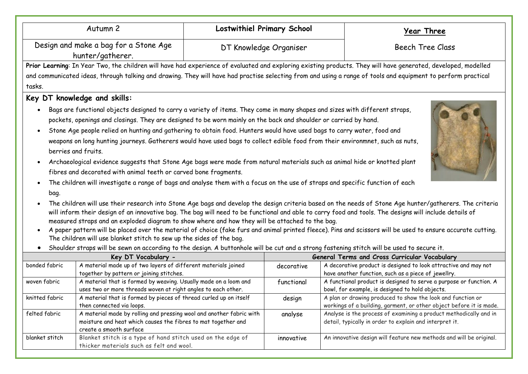| Autumn 2                                                                                                                                                |                                                                                                                                                                                                                                                                                                                                                                                                                                                                                                                                                                                                                                                                                                                                                                                                                                                                                                                                                                                                                                                  | <b>Lostwithiel Primary School</b>             |                         | Year Three                                                                                                                                                                                                                                                                                                                                                                                                                                                                         |  |
|---------------------------------------------------------------------------------------------------------------------------------------------------------|--------------------------------------------------------------------------------------------------------------------------------------------------------------------------------------------------------------------------------------------------------------------------------------------------------------------------------------------------------------------------------------------------------------------------------------------------------------------------------------------------------------------------------------------------------------------------------------------------------------------------------------------------------------------------------------------------------------------------------------------------------------------------------------------------------------------------------------------------------------------------------------------------------------------------------------------------------------------------------------------------------------------------------------------------|-----------------------------------------------|-------------------------|------------------------------------------------------------------------------------------------------------------------------------------------------------------------------------------------------------------------------------------------------------------------------------------------------------------------------------------------------------------------------------------------------------------------------------------------------------------------------------|--|
| Design and make a bag for a Stone Age<br>hunter/gatherer.                                                                                               |                                                                                                                                                                                                                                                                                                                                                                                                                                                                                                                                                                                                                                                                                                                                                                                                                                                                                                                                                                                                                                                  | DT Knowledge Organiser                        | <b>Beech Tree Class</b> |                                                                                                                                                                                                                                                                                                                                                                                                                                                                                    |  |
|                                                                                                                                                         |                                                                                                                                                                                                                                                                                                                                                                                                                                                                                                                                                                                                                                                                                                                                                                                                                                                                                                                                                                                                                                                  |                                               |                         | Prior Learning: In Year Two, the children will have had experience of evaluated and exploring existing products. They will have generated, developed, modelled                                                                                                                                                                                                                                                                                                                     |  |
|                                                                                                                                                         |                                                                                                                                                                                                                                                                                                                                                                                                                                                                                                                                                                                                                                                                                                                                                                                                                                                                                                                                                                                                                                                  |                                               |                         | and communicated ideas, through talking and drawing. They will have had practise selecting from and using a range of tools and equipment to perform practical                                                                                                                                                                                                                                                                                                                      |  |
| tasks.                                                                                                                                                  |                                                                                                                                                                                                                                                                                                                                                                                                                                                                                                                                                                                                                                                                                                                                                                                                                                                                                                                                                                                                                                                  |                                               |                         |                                                                                                                                                                                                                                                                                                                                                                                                                                                                                    |  |
|                                                                                                                                                         | Key DT knowledge and skills:                                                                                                                                                                                                                                                                                                                                                                                                                                                                                                                                                                                                                                                                                                                                                                                                                                                                                                                                                                                                                     |                                               |                         |                                                                                                                                                                                                                                                                                                                                                                                                                                                                                    |  |
| bag.<br>$\bullet$                                                                                                                                       | Bags are functional objects designed to carry a variety of items. They come in many shapes and sizes with different straps,<br>pockets, openings and closings. They are designed to be worn mainly on the back and shoulder or carried by hand.<br>Stone Age people relied on hunting and gathering to obtain food. Hunters would have used bags to carry water, food and<br>weapons on long hunting journeys. Gatherers would have used bags to collect edible food from their environmnet, such as nuts,<br>berries and fruits.<br>Archaeological evidence suggests that Stone Age bags were made from natural materials such as animal hide or knotted plant<br>fibres and decorated with animal teeth or carved bone fragments.<br>The children will investigate a range of bags and analyse them with a focus on the use of straps and specific function of each<br>measured straps and an exploded diagram to show where and how they will be attached to the bag.<br>The children will use blanket stitch to sew up the sides of the bag. |                                               |                         | The children will use their research into Stone Age bags and develop the design criteria based on the needs of Stone Age hunter/gatherers. The criteria<br>will inform their design of an innovative bag. The bag will need to be functional and able to carry food and tools. The designs will include details of<br>A paper pattern will be placed over the material of choice (fake furs and animal printed fleece). Pins and scissors will be used to ensure accurate cutting. |  |
| Shoulder straps will be sewn on according to the design. A buttonhole will be cut and a strong fastening stitch will be used to secure it.<br>$\bullet$ |                                                                                                                                                                                                                                                                                                                                                                                                                                                                                                                                                                                                                                                                                                                                                                                                                                                                                                                                                                                                                                                  |                                               |                         |                                                                                                                                                                                                                                                                                                                                                                                                                                                                                    |  |
| Key DT Vocabulary -                                                                                                                                     |                                                                                                                                                                                                                                                                                                                                                                                                                                                                                                                                                                                                                                                                                                                                                                                                                                                                                                                                                                                                                                                  | General Terms and Cross Curricular Vocabulary |                         |                                                                                                                                                                                                                                                                                                                                                                                                                                                                                    |  |
| bonded fabric                                                                                                                                           | A material made up of two layers of different materials joined<br>together by pattern or joining stitches.                                                                                                                                                                                                                                                                                                                                                                                                                                                                                                                                                                                                                                                                                                                                                                                                                                                                                                                                       |                                               | decorative              | A decorative product is designed to look attractive and may not<br>have another function, such as a piece of jewellry.                                                                                                                                                                                                                                                                                                                                                             |  |
| woven fabric                                                                                                                                            | A material that is formed by weaving. Usually made on a loom and<br>uses two or more threads woven at right angles to each other.                                                                                                                                                                                                                                                                                                                                                                                                                                                                                                                                                                                                                                                                                                                                                                                                                                                                                                                |                                               | functional              | A functional product is designed to serve a purpose or function. A<br>bowl, for example, is designed to hold objects.                                                                                                                                                                                                                                                                                                                                                              |  |
| knitted fabric                                                                                                                                          | A material that is formed by pieces of thread curled up on itself<br>then connected via loops.                                                                                                                                                                                                                                                                                                                                                                                                                                                                                                                                                                                                                                                                                                                                                                                                                                                                                                                                                   |                                               | design                  | A plan or drawing produced to show the look and function or<br>workings of a building, garment, or other object before it is made.                                                                                                                                                                                                                                                                                                                                                 |  |
| felted fabric                                                                                                                                           | A material made by rolling and pressing wool and another fabric with<br>moisture and heat which causes the fibres to mat together and<br>create a smooth surface                                                                                                                                                                                                                                                                                                                                                                                                                                                                                                                                                                                                                                                                                                                                                                                                                                                                                 |                                               | analyse                 | Analyse is the process of examining a product methodically and in<br>detail, typically in order to explain and interpret it.                                                                                                                                                                                                                                                                                                                                                       |  |
| blanket stitch                                                                                                                                          | Blanket stitch is a type of hand stitch used on the edge of<br>thicker materials such as felt and wool.                                                                                                                                                                                                                                                                                                                                                                                                                                                                                                                                                                                                                                                                                                                                                                                                                                                                                                                                          |                                               | innovative              | An innovative design will feature new methods and will be original.                                                                                                                                                                                                                                                                                                                                                                                                                |  |